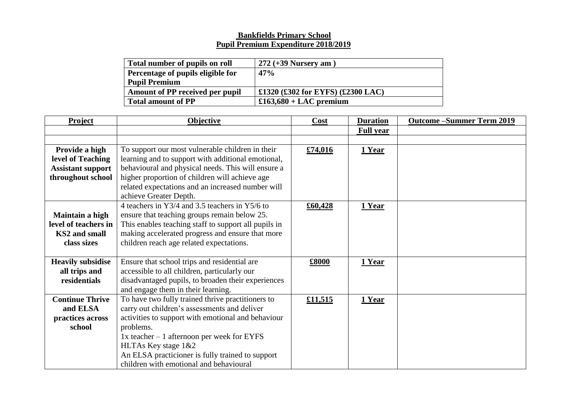## **Bankfields Primary School Pupil Premium Expenditure 2018/2019**

| Total number of pupils on roll    | $272 (+39$ Nursery am $)$         |
|-----------------------------------|-----------------------------------|
| Percentage of pupils eligible for | 47%                               |
| <b>Pupil Premium</b>              |                                   |
| Amount of PP received per pupil   | £1320 (£302 for EYFS) (£2300 LAC) |
| <b>Total amount of PP</b>         | $£163,680 + LAC$ premium          |

| <b>Project</b>           | Objective                                            | Cost    | <b>Duration</b>  | <b>Outcome-Summer Term 2019</b> |
|--------------------------|------------------------------------------------------|---------|------------------|---------------------------------|
|                          |                                                      |         | <b>Full year</b> |                                 |
|                          |                                                      |         |                  |                                 |
| Provide a high           | To support our most vulnerable children in their     | £74,016 | 1 Year           |                                 |
| level of Teaching        | learning and to support with additional emotional,   |         |                  |                                 |
| <b>Assistant support</b> | behavioural and physical needs. This will ensure a   |         |                  |                                 |
| throughout school        | higher proportion of children will achieve age       |         |                  |                                 |
|                          | related expectations and an increased number will    |         |                  |                                 |
|                          | achieve Greater Depth.                               |         |                  |                                 |
|                          | 4 teachers in Y3/4 and 3.5 teachers in Y5/6 to       | £60,428 | 1 Year           |                                 |
| Maintain a high          | ensure that teaching groups remain below 25.         |         |                  |                                 |
| level of teachers in     | This enables teaching staff to support all pupils in |         |                  |                                 |
| KS2 and small            | making accelerated progress and ensure that more     |         |                  |                                 |
| class sizes              | children reach age related expectations.             |         |                  |                                 |
|                          |                                                      |         |                  |                                 |
| <b>Heavily subsidise</b> | Ensure that school trips and residential are         | £8000   | 1 Year           |                                 |
| all trips and            | accessible to all children, particularly our         |         |                  |                                 |
| residentials             | disadvantaged pupils, to broaden their experiences   |         |                  |                                 |
|                          | and engage them in their learning.                   |         |                  |                                 |
| <b>Continue Thrive</b>   | To have two fully trained thrive practitioners to    | £11,515 | 1 Year           |                                 |
| and ELSA                 | carry out children's assessments and deliver         |         |                  |                                 |
| practices across         | activities to support with emotional and behaviour   |         |                  |                                 |
| school                   | problems.                                            |         |                  |                                 |
|                          | $1x$ teacher $-1$ afternoon per week for EYFS        |         |                  |                                 |
|                          | HLTAs Key stage 1&2                                  |         |                  |                                 |
|                          | An ELSA practicioner is fully trained to support     |         |                  |                                 |
|                          | children with emotional and behavioural              |         |                  |                                 |